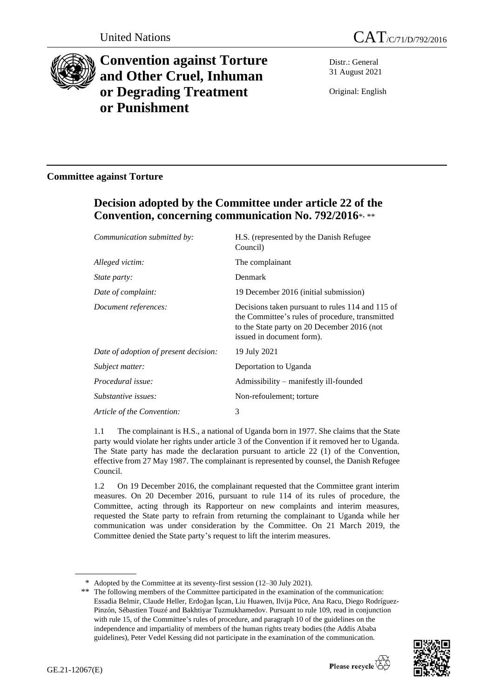



# **Convention against Torture and Other Cruel, Inhuman or Degrading Treatment or Punishment**

Distr.: General 31 August 2021

Original: English

### **Committee against Torture**

## **Decision adopted by the Committee under article 22 of the Convention, concerning communication No. 792/2016**\* , \*\*

| Council)                                                                                                                                                                        |
|---------------------------------------------------------------------------------------------------------------------------------------------------------------------------------|
| The complainant                                                                                                                                                                 |
| Denmark                                                                                                                                                                         |
| 19 December 2016 (initial submission)                                                                                                                                           |
| Decisions taken pursuant to rules 114 and 115 of<br>the Committee's rules of procedure, transmitted<br>to the State party on 20 December 2016 (not<br>issued in document form). |
| 19 July 2021                                                                                                                                                                    |
| Deportation to Uganda                                                                                                                                                           |
| Admissibility – manifestly ill-founded                                                                                                                                          |
| Non-refoulement; torture                                                                                                                                                        |
| 3                                                                                                                                                                               |
|                                                                                                                                                                                 |

1.1 The complainant is H.S., a national of Uganda born in 1977. She claims that the State party would violate her rights under article 3 of the Convention if it removed her to Uganda. The State party has made the declaration pursuant to article 22 (1) of the Convention, effective from 27 May 1987. The complainant is represented by counsel, the Danish Refugee Council.

1.2 On 19 December 2016, the complainant requested that the Committee grant interim measures. On 20 December 2016, pursuant to rule 114 of its rules of procedure, the Committee, acting through its Rapporteur on new complaints and interim measures, requested the State party to refrain from returning the complainant to Uganda while her communication was under consideration by the Committee. On 21 March 2019, the Committee denied the State party's request to lift the interim measures.

<sup>\*\*</sup> The following members of the Committee participated in the examination of the communication: Essadia Belmir, Claude Heller, Erdoğan İşcan, Liu Huawen, Ilvija Pūce, Ana Racu, Diego Rodríguez-Pinzón, Sébastien Touzé and Bakhtiyar Tuzmukhamedov. Pursuant to rule 109, read in conjunction with rule 15, of the Committee's rules of procedure, and paragraph 10 of the guidelines on the independence and impartiality of members of the human rights treaty bodies (the Addis Ababa guidelines), Peter Vedel Kessing did not participate in the examination of the communication.



<sup>\*</sup> Adopted by the Committee at its seventy-first session (12–30 July 2021).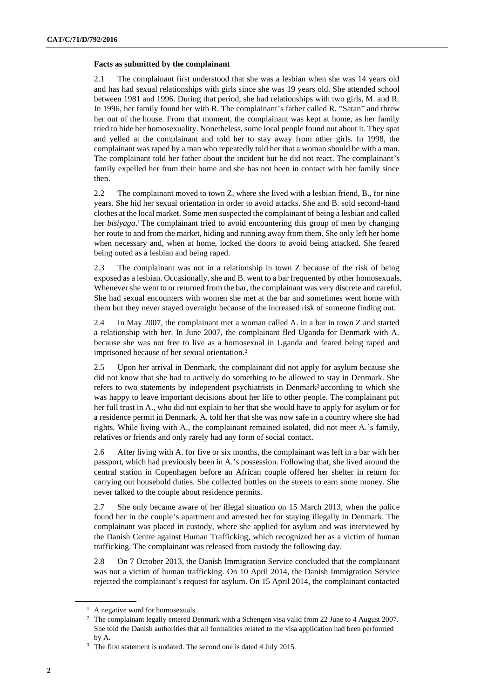#### **Facts as submitted by the complainant**

2.1 The complainant first understood that she was a lesbian when she was 14 years old and has had sexual relationships with girls since she was 19 years old. She attended school between 1981 and 1996. During that period, she had relationships with two girls, M. and R. In 1996, her family found her with R. The complainant's father called R. "Satan" and threw her out of the house. From that moment, the complainant was kept at home, as her family tried to hide her homosexuality. Nonetheless, some local people found out about it. They spat and yelled at the complainant and told her to stay away from other girls. In 1998, the complainant was raped by a man who repeatedly told her that a woman should be with a man. The complainant told her father about the incident but he did not react. The complainant's family expelled her from their home and she has not been in contact with her family since then.

2.2 The complainant moved to town Z, where she lived with a lesbian friend, B., for nine years. She hid her sexual orientation in order to avoid attacks. She and B. sold second-hand clothes at the local market. Some men suspected the complainant of being a lesbian and called her *bisiyaga*. <sup>1</sup> The complainant tried to avoid encountering this group of men by changing her route to and from the market, hiding and running away from them. She only left her home when necessary and, when at home, locked the doors to avoid being attacked. She feared being outed as a lesbian and being raped.

2.3 The complainant was not in a relationship in town Z because of the risk of being exposed as a lesbian. Occasionally, she and B. went to a bar frequented by other homosexuals. Whenever she went to or returned from the bar, the complainant was very discrete and careful. She had sexual encounters with women she met at the bar and sometimes went home with them but they never stayed overnight because of the increased risk of someone finding out.

2.4 In May 2007, the complainant met a woman called A. in a bar in town Z and started a relationship with her. In June 2007, the complainant fled Uganda for Denmark with A. because she was not free to live as a homosexual in Uganda and feared being raped and imprisoned because of her sexual orientation.<sup>2</sup>

2.5 Upon her arrival in Denmark, the complainant did not apply for asylum because she did not know that she had to actively do something to be allowed to stay in Denmark. She refers to two statements by independent psychiatrists in Denmark<sup>3</sup> according to which she was happy to leave important decisions about her life to other people. The complainant put her full trust in A., who did not explain to her that she would have to apply for asylum or for a residence permit in Denmark. A. told her that she was now safe in a country where she had rights. While living with A., the complainant remained isolated, did not meet A.'s family, relatives or friends and only rarely had any form of social contact.

2.6 After living with A. for five or six months, the complainant was left in a bar with her passport, which had previously been in A.'s possession. Following that, she lived around the central station in Copenhagen before an African couple offered her shelter in return for carrying out household duties. She collected bottles on the streets to earn some money. She never talked to the couple about residence permits.

2.7 She only became aware of her illegal situation on 15 March 2013, when the police found her in the couple's apartment and arrested her for staying illegally in Denmark. The complainant was placed in custody, where she applied for asylum and was interviewed by the Danish Centre against Human Trafficking, which recognized her as a victim of human trafficking. The complainant was released from custody the following day.

2.8 On 7 October 2013, the Danish Immigration Service concluded that the complainant was not a victim of human trafficking. On 10 April 2014, the Danish Immigration Service rejected the complainant's request for asylum. On 15 April 2014, the complainant contacted

<sup>&</sup>lt;sup>1</sup> A negative word for homosexuals.

<sup>&</sup>lt;sup>2</sup> The complainant legally entered Denmark with a Schengen visa valid from 22 June to 4 August 2007. She told the Danish authorities that all formalities related to the visa application had been performed by A.

<sup>&</sup>lt;sup>3</sup> The first statement is undated. The second one is dated 4 July 2015.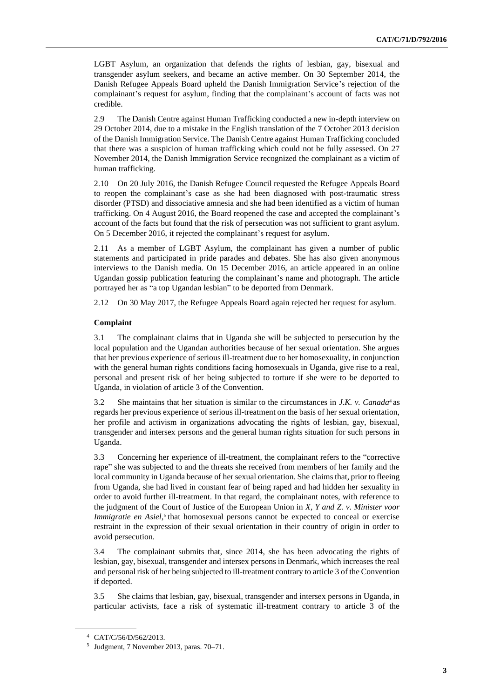LGBT Asylum, an organization that defends the rights of lesbian, gay, bisexual and transgender asylum seekers, and became an active member. On 30 September 2014, the Danish Refugee Appeals Board upheld the Danish Immigration Service's rejection of the complainant's request for asylum, finding that the complainant's account of facts was not credible.

2.9 The Danish Centre against Human Trafficking conducted a new in-depth interview on 29 October 2014, due to a mistake in the English translation of the 7 October 2013 decision of the Danish Immigration Service. The Danish Centre against Human Trafficking concluded that there was a suspicion of human trafficking which could not be fully assessed. On 27 November 2014, the Danish Immigration Service recognized the complainant as a victim of human trafficking.

2.10 On 20 July 2016, the Danish Refugee Council requested the Refugee Appeals Board to reopen the complainant's case as she had been diagnosed with post-traumatic stress disorder (PTSD) and dissociative amnesia and she had been identified as a victim of human trafficking. On 4 August 2016, the Board reopened the case and accepted the complainant's account of the facts but found that the risk of persecution was not sufficient to grant asylum. On 5 December 2016, it rejected the complainant's request for asylum.

2.11 As a member of LGBT Asylum, the complainant has given a number of public statements and participated in pride parades and debates. She has also given anonymous interviews to the Danish media. On 15 December 2016, an article appeared in an online Ugandan gossip publication featuring the complainant's name and photograph. The article portrayed her as "a top Ugandan lesbian" to be deported from Denmark.

2.12 On 30 May 2017, the Refugee Appeals Board again rejected her request for asylum.

#### **Complaint**

3.1 The complainant claims that in Uganda she will be subjected to persecution by the local population and the Ugandan authorities because of her sexual orientation. She argues that her previous experience of serious ill-treatment due to her homosexuality, in conjunction with the general human rights conditions facing homosexuals in Uganda, give rise to a real, personal and present risk of her being subjected to torture if she were to be deported to Uganda, in violation of article 3 of the Convention.

3.2 She maintains that her situation is similar to the circumstances in *J.K. v. Canada*<sup>4</sup> as regards her previous experience of serious ill-treatment on the basis of her sexual orientation, her profile and activism in organizations advocating the rights of lesbian, gay, bisexual, transgender and intersex persons and the general human rights situation for such persons in Uganda.

3.3 Concerning her experience of ill-treatment, the complainant refers to the "corrective rape" she was subjected to and the threats she received from members of her family and the local community in Uganda because of her sexual orientation. She claims that, prior to fleeing from Uganda, she had lived in constant fear of being raped and had hidden her sexuality in order to avoid further ill-treatment. In that regard, the complainant notes, with reference to the judgment of the Court of Justice of the European Union in *X, Y and Z. v. Minister voor Immigratie en Asiel*,<sup>5</sup> that homosexual persons cannot be expected to conceal or exercise restraint in the expression of their sexual orientation in their country of origin in order to avoid persecution.

3.4 The complainant submits that, since 2014, she has been advocating the rights of lesbian, gay, bisexual, transgender and intersex persons in Denmark, which increases the real and personal risk of her being subjected to ill-treatment contrary to article 3 of the Convention if deported.

3.5 She claims that lesbian, gay, bisexual, transgender and intersex persons in Uganda, in particular activists, face a risk of systematic ill-treatment contrary to article 3 of the

<sup>4</sup> CAT/C/56/D/562/2013.

<sup>5</sup> Judgment, 7 November 2013, paras. 70–71.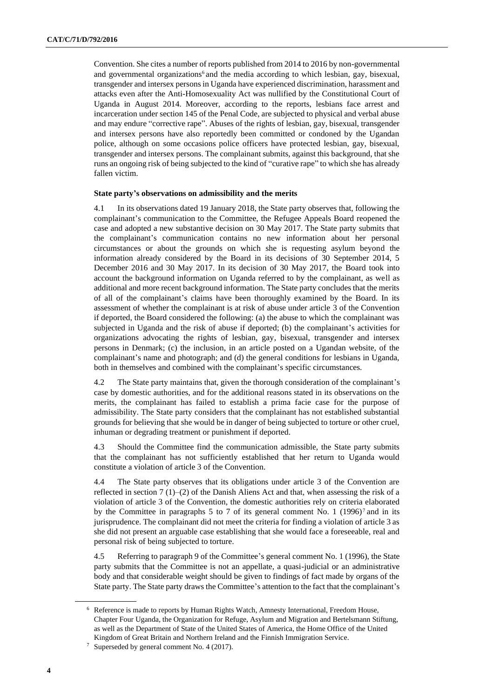Convention. She cites a number of reports published from 2014 to 2016 by non-governmental and governmental organizations<sup>6</sup> and the media according to which lesbian, gay, bisexual, transgender and intersex persons in Uganda have experienced discrimination, harassment and attacks even after the Anti-Homosexuality Act was nullified by the Constitutional Court of Uganda in August 2014. Moreover, according to the reports, lesbians face arrest and incarceration under section 145 of the Penal Code, are subjected to physical and verbal abuse and may endure "corrective rape". Abuses of the rights of lesbian, gay, bisexual, transgender and intersex persons have also reportedly been committed or condoned by the Ugandan police, although on some occasions police officers have protected lesbian, gay, bisexual, transgender and intersex persons. The complainant submits, against this background, that she runs an ongoing risk of being subjected to the kind of "curative rape" to which she has already fallen victim.

#### **State party's observations on admissibility and the merits**

4.1 In its observations dated 19 January 2018, the State party observes that, following the complainant's communication to the Committee, the Refugee Appeals Board reopened the case and adopted a new substantive decision on 30 May 2017. The State party submits that the complainant's communication contains no new information about her personal circumstances or about the grounds on which she is requesting asylum beyond the information already considered by the Board in its decisions of 30 September 2014, 5 December 2016 and 30 May 2017. In its decision of 30 May 2017, the Board took into account the background information on Uganda referred to by the complainant, as well as additional and more recent background information. The State party concludes that the merits of all of the complainant's claims have been thoroughly examined by the Board. In its assessment of whether the complainant is at risk of abuse under article 3 of the Convention if deported, the Board considered the following: (a) the abuse to which the complainant was subjected in Uganda and the risk of abuse if deported; (b) the complainant's activities for organizations advocating the rights of lesbian, gay, bisexual, transgender and intersex persons in Denmark; (c) the inclusion, in an article posted on a Ugandan website, of the complainant's name and photograph; and (d) the general conditions for lesbians in Uganda, both in themselves and combined with the complainant's specific circumstances.

4.2 The State party maintains that, given the thorough consideration of the complainant's case by domestic authorities, and for the additional reasons stated in its observations on the merits, the complainant has failed to establish a prima facie case for the purpose of admissibility. The State party considers that the complainant has not established substantial grounds for believing that she would be in danger of being subjected to torture or other cruel, inhuman or degrading treatment or punishment if deported.

4.3 Should the Committee find the communication admissible, the State party submits that the complainant has not sufficiently established that her return to Uganda would constitute a violation of article 3 of the Convention.

4.4 The State party observes that its obligations under article 3 of the Convention are reflected in section 7 (1)–(2) of the Danish Aliens Act and that, when assessing the risk of a violation of article 3 of the Convention, the domestic authorities rely on criteria elaborated by the Committee in paragraphs 5 to 7 of its general comment No. 1  $(1996)^7$  and in its jurisprudence. The complainant did not meet the criteria for finding a violation of article 3 as she did not present an arguable case establishing that she would face a foreseeable, real and personal risk of being subjected to torture.

4.5 Referring to paragraph 9 of the Committee's general comment No. 1 (1996), the State party submits that the Committee is not an appellate, a quasi-judicial or an administrative body and that considerable weight should be given to findings of fact made by organs of the State party. The State party draws the Committee's attention to the fact that the complainant's

<sup>6</sup> Reference is made to reports by Human Rights Watch, Amnesty International, Freedom House, Chapter Four Uganda, the Organization for Refuge, Asylum and Migration and Bertelsmann Stiftung, as well as the Department of State of the United States of America, the Home Office of the United Kingdom of Great Britain and Northern Ireland and the Finnish Immigration Service.

<sup>7</sup> Superseded by general comment No. 4 (2017).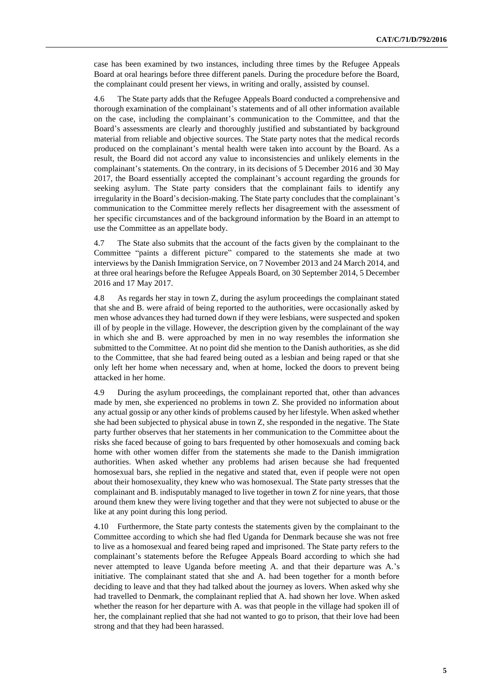case has been examined by two instances, including three times by the Refugee Appeals Board at oral hearings before three different panels. During the procedure before the Board, the complainant could present her views, in writing and orally, assisted by counsel.

4.6 The State party adds that the Refugee Appeals Board conducted a comprehensive and thorough examination of the complainant's statements and of all other information available on the case, including the complainant's communication to the Committee, and that the Board's assessments are clearly and thoroughly justified and substantiated by background material from reliable and objective sources. The State party notes that the medical records produced on the complainant's mental health were taken into account by the Board. As a result, the Board did not accord any value to inconsistencies and unlikely elements in the complainant's statements. On the contrary, in its decisions of 5 December 2016 and 30 May 2017, the Board essentially accepted the complainant's account regarding the grounds for seeking asylum. The State party considers that the complainant fails to identify any irregularity in the Board's decision-making. The State party concludes that the complainant's communication to the Committee merely reflects her disagreement with the assessment of her specific circumstances and of the background information by the Board in an attempt to use the Committee as an appellate body.

4.7 The State also submits that the account of the facts given by the complainant to the Committee "paints a different picture" compared to the statements she made at two interviews by the Danish Immigration Service, on 7 November 2013 and 24 March 2014, and at three oral hearings before the Refugee Appeals Board, on 30 September 2014, 5 December 2016 and 17 May 2017.

4.8 As regards her stay in town Z, during the asylum proceedings the complainant stated that she and B. were afraid of being reported to the authorities, were occasionally asked by men whose advances they had turned down if they were lesbians, were suspected and spoken ill of by people in the village. However, the description given by the complainant of the way in which she and B. were approached by men in no way resembles the information she submitted to the Committee. At no point did she mention to the Danish authorities, as she did to the Committee, that she had feared being outed as a lesbian and being raped or that she only left her home when necessary and, when at home, locked the doors to prevent being attacked in her home.

4.9 During the asylum proceedings, the complainant reported that, other than advances made by men, she experienced no problems in town Z. She provided no information about any actual gossip or any other kinds of problems caused by her lifestyle. When asked whether she had been subjected to physical abuse in town Z, she responded in the negative. The State party further observes that her statements in her communication to the Committee about the risks she faced because of going to bars frequented by other homosexuals and coming back home with other women differ from the statements she made to the Danish immigration authorities. When asked whether any problems had arisen because she had frequented homosexual bars, she replied in the negative and stated that, even if people were not open about their homosexuality, they knew who was homosexual. The State party stresses that the complainant and B. indisputably managed to live together in town Z for nine years, that those around them knew they were living together and that they were not subjected to abuse or the like at any point during this long period.

4.10 Furthermore, the State party contests the statements given by the complainant to the Committee according to which she had fled Uganda for Denmark because she was not free to live as a homosexual and feared being raped and imprisoned. The State party refers to the complainant's statements before the Refugee Appeals Board according to which she had never attempted to leave Uganda before meeting A. and that their departure was A.'s initiative. The complainant stated that she and A. had been together for a month before deciding to leave and that they had talked about the journey as lovers. When asked why she had travelled to Denmark, the complainant replied that A. had shown her love. When asked whether the reason for her departure with A. was that people in the village had spoken ill of her, the complainant replied that she had not wanted to go to prison, that their love had been strong and that they had been harassed.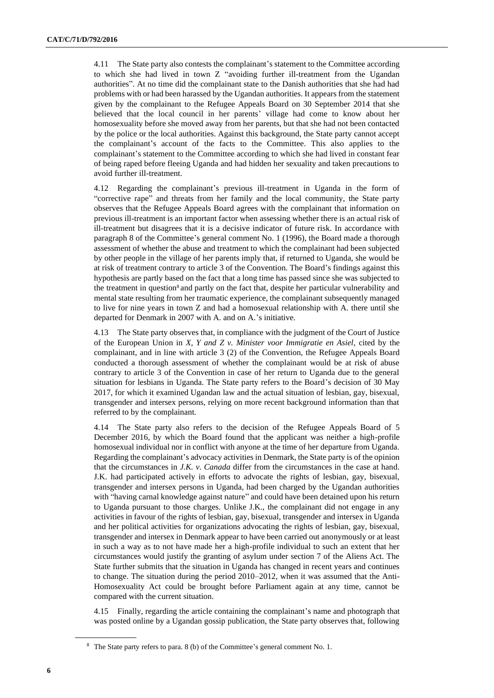4.11 The State party also contests the complainant's statement to the Committee according to which she had lived in town Z "avoiding further ill-treatment from the Ugandan authorities". At no time did the complainant state to the Danish authorities that she had had problems with or had been harassed by the Ugandan authorities. It appears from the statement given by the complainant to the Refugee Appeals Board on 30 September 2014 that she believed that the local council in her parents' village had come to know about her homosexuality before she moved away from her parents, but that she had not been contacted by the police or the local authorities. Against this background, the State party cannot accept the complainant's account of the facts to the Committee. This also applies to the complainant's statement to the Committee according to which she had lived in constant fear of being raped before fleeing Uganda and had hidden her sexuality and taken precautions to avoid further ill-treatment.

4.12 Regarding the complainant's previous ill-treatment in Uganda in the form of "corrective rape" and threats from her family and the local community, the State party observes that the Refugee Appeals Board agrees with the complainant that information on previous ill-treatment is an important factor when assessing whether there is an actual risk of ill-treatment but disagrees that it is a decisive indicator of future risk. In accordance with paragraph 8 of the Committee's general comment No. 1 (1996), the Board made a thorough assessment of whether the abuse and treatment to which the complainant had been subjected by other people in the village of her parents imply that, if returned to Uganda, she would be at risk of treatment contrary to article 3 of the Convention. The Board's findings against this hypothesis are partly based on the fact that a long time has passed since she was subjected to the treatment in question<sup>8</sup> and partly on the fact that, despite her particular vulnerability and mental state resulting from her traumatic experience, the complainant subsequently managed to live for nine years in town Z and had a homosexual relationship with A. there until she departed for Denmark in 2007 with A. and on A.'s initiative.

4.13 The State party observes that, in compliance with the judgment of the Court of Justice of the European Union in *X, Y and Z v. Minister voor Immigratie en Asiel*, cited by the complainant, and in line with article 3 (2) of the Convention, the Refugee Appeals Board conducted a thorough assessment of whether the complainant would be at risk of abuse contrary to article 3 of the Convention in case of her return to Uganda due to the general situation for lesbians in Uganda. The State party refers to the Board's decision of 30 May 2017, for which it examined Ugandan law and the actual situation of lesbian, gay, bisexual, transgender and intersex persons, relying on more recent background information than that referred to by the complainant.

4.14 The State party also refers to the decision of the Refugee Appeals Board of 5 December 2016, by which the Board found that the applicant was neither a high-profile homosexual individual nor in conflict with anyone at the time of her departure from Uganda. Regarding the complainant's advocacy activities in Denmark, the State party is of the opinion that the circumstances in *J.K. v. Canada* differ from the circumstances in the case at hand. J.K. had participated actively in efforts to advocate the rights of lesbian, gay, bisexual, transgender and intersex persons in Uganda, had been charged by the Ugandan authorities with "having carnal knowledge against nature" and could have been detained upon his return to Uganda pursuant to those charges. Unlike J.K., the complainant did not engage in any activities in favour of the rights of lesbian, gay, bisexual, transgender and intersex in Uganda and her political activities for organizations advocating the rights of lesbian, gay, bisexual, transgender and intersex in Denmark appear to have been carried out anonymously or at least in such a way as to not have made her a high-profile individual to such an extent that her circumstances would justify the granting of asylum under section 7 of the Aliens Act. The State further submits that the situation in Uganda has changed in recent years and continues to change. The situation during the period 2010–2012, when it was assumed that the Anti-Homosexuality Act could be brought before Parliament again at any time, cannot be compared with the current situation.

4.15 Finally, regarding the article containing the complainant's name and photograph that was posted online by a Ugandan gossip publication, the State party observes that, following

<sup>8</sup> The State party refers to para. 8 (b) of the Committee's general comment No. 1.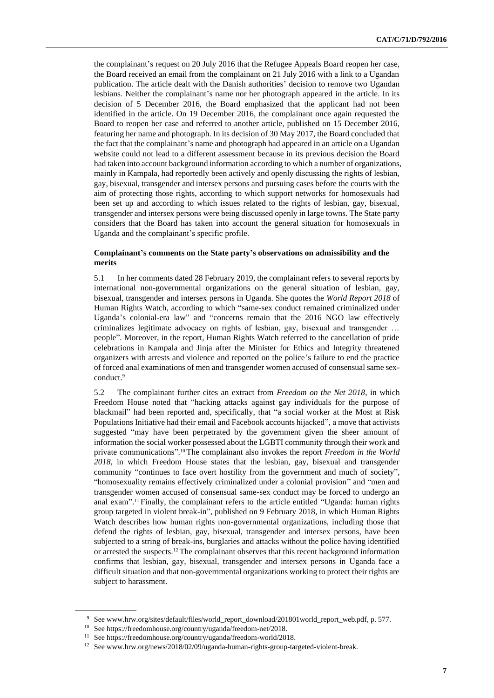the complainant's request on 20 July 2016 that the Refugee Appeals Board reopen her case, the Board received an email from the complainant on 21 July 2016 with a link to a Ugandan publication. The article dealt with the Danish authorities' decision to remove two Ugandan lesbians. Neither the complainant's name nor her photograph appeared in the article. In its decision of 5 December 2016, the Board emphasized that the applicant had not been identified in the article. On 19 December 2016, the complainant once again requested the Board to reopen her case and referred to another article, published on 15 December 2016, featuring her name and photograph. In its decision of 30 May 2017, the Board concluded that the fact that the complainant's name and photograph had appeared in an article on a Ugandan website could not lead to a different assessment because in its previous decision the Board had taken into account background information according to which a number of organizations, mainly in Kampala, had reportedly been actively and openly discussing the rights of lesbian, gay, bisexual, transgender and intersex persons and pursuing cases before the courts with the aim of protecting those rights, according to which support networks for homosexuals had been set up and according to which issues related to the rights of lesbian, gay, bisexual, transgender and intersex persons were being discussed openly in large towns. The State party considers that the Board has taken into account the general situation for homosexuals in Uganda and the complainant's specific profile.

#### **Complainant's comments on the State party's observations on admissibility and the merits**

5.1 In her comments dated 28 February 2019, the complainant refers to several reports by international non-governmental organizations on the general situation of lesbian, gay, bisexual, transgender and intersex persons in Uganda. She quotes the *World Report 2018* of Human Rights Watch, according to which "same-sex conduct remained criminalized under Uganda's colonial-era law" and "concerns remain that the 2016 NGO law effectively criminalizes legitimate advocacy on rights of lesbian, gay, bisexual and transgender … people". Moreover, in the report, Human Rights Watch referred to the cancellation of pride celebrations in Kampala and Jinja after the Minister for Ethics and Integrity threatened organizers with arrests and violence and reported on the police's failure to end the practice of forced anal examinations of men and transgender women accused of consensual same sexconduct.<sup>9</sup>

5.2 The complainant further cites an extract from *Freedom on the Net 2018*, in which Freedom House noted that "hacking attacks against gay individuals for the purpose of blackmail" had been reported and, specifically, that "a social worker at the Most at Risk Populations Initiative had their email and Facebook accounts hijacked", a move that activists suggested "may have been perpetrated by the government given the sheer amount of information the social worker possessed about the LGBTI community through their work and private communications". <sup>10</sup> The complainant also invokes the report *Freedom in the World 2018*, in which Freedom House states that the lesbian, gay, bisexual and transgender community "continues to face overt hostility from the government and much of society", "homosexuality remains effectively criminalized under a colonial provision" and "men and transgender women accused of consensual same-sex conduct may be forced to undergo an anal exam". <sup>11</sup> Finally, the complainant refers to the article entitled "Uganda: human rights group targeted in violent break-in", published on 9 February 2018, in which Human Rights Watch describes how human rights non-governmental organizations, including those that defend the rights of lesbian, gay, bisexual, transgender and intersex persons, have been subjected to a string of break-ins, burglaries and attacks without the police having identified or arrested the suspects.<sup>12</sup> The complainant observes that this recent background information confirms that lesbian, gay, bisexual, transgender and intersex persons in Uganda face a difficult situation and that non-governmental organizations working to protect their rights are subject to harassment.

<sup>9</sup> See www.hrw.org/sites/default/files/world\_report\_download/201801world\_report\_web.pdf, p. 577.

<sup>10</sup> See https://freedomhouse.org/country/uganda/freedom-net/2018.

<sup>11</sup> See https://freedomhouse.org/country/uganda/freedom-world/2018.

<sup>&</sup>lt;sup>12</sup> See www.hrw.org/news/2018/02/09/uganda-human-rights-group-targeted-violent-break.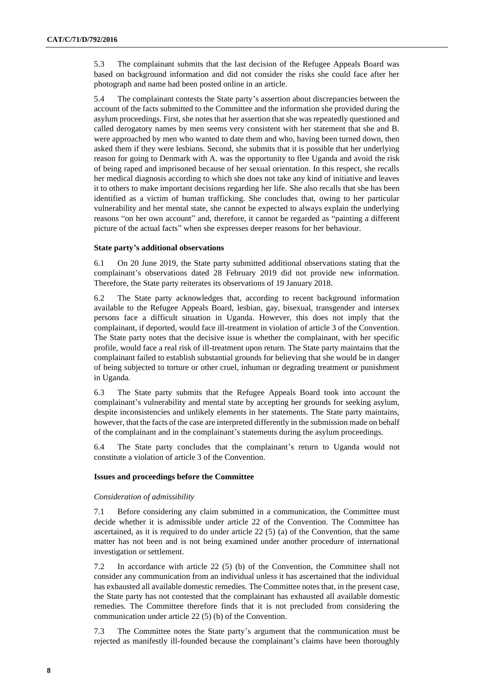5.3 The complainant submits that the last decision of the Refugee Appeals Board was based on background information and did not consider the risks she could face after her photograph and name had been posted online in an article.

5.4 The complainant contests the State party's assertion about discrepancies between the account of the facts submitted to the Committee and the information she provided during the asylum proceedings. First, she notes that her assertion that she was repeatedly questioned and called derogatory names by men seems very consistent with her statement that she and B. were approached by men who wanted to date them and who, having been turned down, then asked them if they were lesbians. Second, she submits that it is possible that her underlying reason for going to Denmark with A. was the opportunity to flee Uganda and avoid the risk of being raped and imprisoned because of her sexual orientation. In this respect, she recalls her medical diagnosis according to which she does not take any kind of initiative and leaves it to others to make important decisions regarding her life. She also recalls that she has been identified as a victim of human trafficking. She concludes that, owing to her particular vulnerability and her mental state, she cannot be expected to always explain the underlying reasons "on her own account" and, therefore, it cannot be regarded as "painting a different picture of the actual facts" when she expresses deeper reasons for her behaviour.

#### **State party's additional observations**

6.1 On 20 June 2019, the State party submitted additional observations stating that the complainant's observations dated 28 February 2019 did not provide new information. Therefore, the State party reiterates its observations of 19 January 2018.

6.2 The State party acknowledges that, according to recent background information available to the Refugee Appeals Board, lesbian, gay, bisexual, transgender and intersex persons face a difficult situation in Uganda. However, this does not imply that the complainant, if deported, would face ill-treatment in violation of article 3 of the Convention. The State party notes that the decisive issue is whether the complainant, with her specific profile, would face a real risk of ill-treatment upon return. The State party maintains that the complainant failed to establish substantial grounds for believing that she would be in danger of being subjected to torture or other cruel, inhuman or degrading treatment or punishment in Uganda.

6.3 The State party submits that the Refugee Appeals Board took into account the complainant's vulnerability and mental state by accepting her grounds for seeking asylum, despite inconsistencies and unlikely elements in her statements. The State party maintains, however, that the facts of the case are interpreted differently in the submission made on behalf of the complainant and in the complainant's statements during the asylum proceedings.

6.4 The State party concludes that the complainant's return to Uganda would not constitute a violation of article 3 of the Convention.

#### **Issues and proceedings before the Committee**

#### *Consideration of admissibility*

7.1 Before considering any claim submitted in a communication, the Committee must decide whether it is admissible under article 22 of the Convention. The Committee has ascertained, as it is required to do under article 22 (5) (a) of the Convention, that the same matter has not been and is not being examined under another procedure of international investigation or settlement.

7.2 In accordance with article 22 (5) (b) of the Convention, the Committee shall not consider any communication from an individual unless it has ascertained that the individual has exhausted all available domestic remedies. The Committee notes that, in the present case, the State party has not contested that the complainant has exhausted all available domestic remedies. The Committee therefore finds that it is not precluded from considering the communication under article 22 (5) (b) of the Convention.

7.3 The Committee notes the State party's argument that the communication must be rejected as manifestly ill-founded because the complainant's claims have been thoroughly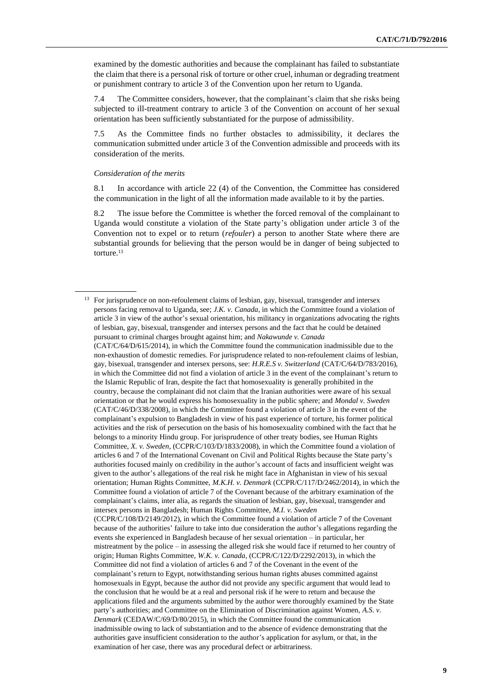examined by the domestic authorities and because the complainant has failed to substantiate the claim that there is a personal risk of torture or other cruel, inhuman or degrading treatment or punishment contrary to article 3 of the Convention upon her return to Uganda.

7.4 The Committee considers, however, that the complainant's claim that she risks being subjected to ill-treatment contrary to article 3 of the Convention on account of her sexual orientation has been sufficiently substantiated for the purpose of admissibility.

7.5 As the Committee finds no further obstacles to admissibility, it declares the communication submitted under article 3 of the Convention admissible and proceeds with its consideration of the merits.

#### *Consideration of the merits*

8.1 In accordance with article 22 (4) of the Convention, the Committee has considered the communication in the light of all the information made available to it by the parties.

8.2 The issue before the Committee is whether the forced removal of the complainant to Uganda would constitute a violation of the State party's obligation under article 3 of the Convention not to expel or to return (*refouler*) a person to another State where there are substantial grounds for believing that the person would be in danger of being subjected to torture.<sup>13</sup>

<sup>&</sup>lt;sup>13</sup> For jurisprudence on non-refoulement claims of lesbian, gay, bisexual, transgender and intersex persons facing removal to Uganda, see; *J.K. v. Canada*, in which the Committee found a violation of article 3 in view of the author's sexual orientation, his militancy in organizations advocating the rights of lesbian, gay, bisexual, transgender and intersex persons and the fact that he could be detained pursuant to criminal charges brought against him; and *Nakawunde v. Canada* (CAT/C/64/D/615/2014), in which the Committee found the communication inadmissible due to the non-exhaustion of domestic remedies. For jurisprudence related to non-refoulement claims of lesbian, gay, bisexual, transgender and intersex persons, see: *H.R.E.S v. Switzerland* (CAT/C/64/D/783/2016), in which the Committee did not find a violation of article 3 in the event of the complainant's return to the Islamic Republic of Iran, despite the fact that homosexuality is generally prohibited in the country, because the complainant did not claim that the Iranian authorities were aware of his sexual orientation or that he would express his homosexuality in the public sphere; and *Mondal v. Sweden* (CAT/C/46/D/338/2008), in which the Committee found a violation of article 3 in the event of the complainant's expulsion to Bangladesh in view of his past experience of torture, his former political activities and the risk of persecution on the basis of his homosexuality combined with the fact that he belongs to a minority Hindu group. For jurisprudence of other treaty bodies, see Human Rights Committee, *X. v. Sweden*, (CCPR/C/103/D/1833/2008), in which the Committee found a violation of articles 6 and 7 of the International Covenant on Civil and Political Rights because the State party's authorities focused mainly on credibility in the author's account of facts and insufficient weight was given to the author's allegations of the real risk he might face in Afghanistan in view of his sexual orientation; Human Rights Committee, *M.K.H. v. Denmark* (CCPR/C/117/D/2462/2014), in which the Committee found a violation of article 7 of the Covenant because of the arbitrary examination of the complainant's claims, inter alia, as regards the situation of lesbian, gay, bisexual, transgender and intersex persons in Bangladesh; Human Rights Committee, *M.I. v. Sweden* (CCPR/C/108/D/2149/2012), in which the Committee found a violation of article 7 of the Covenant because of the authorities' failure to take into due consideration the author's allegations regarding the events she experienced in Bangladesh because of her sexual orientation – in particular, her mistreatment by the police – in assessing the alleged risk she would face if returned to her country of origin; Human Rights Committee, *W.K. v. Canada*, (CCPR/C/122/D/2292/2013), in which the Committee did not find a violation of articles 6 and 7 of the Covenant in the event of the complainant's return to Egypt, notwithstanding serious human rights abuses committed against homosexuals in Egypt, because the author did not provide any specific argument that would lead to the conclusion that he would be at a real and personal risk if he were to return and because the applications filed and the arguments submitted by the author were thoroughly examined by the State party's authorities; and Committee on the Elimination of Discrimination against Women, *A.S. v. Denmark* (CEDAW/C/69/D/80/2015), in which the Committee found the communication inadmissible owing to lack of substantiation and to the absence of evidence demonstrating that the authorities gave insufficient consideration to the author's application for asylum, or that, in the examination of her case, there was any procedural defect or arbitrariness.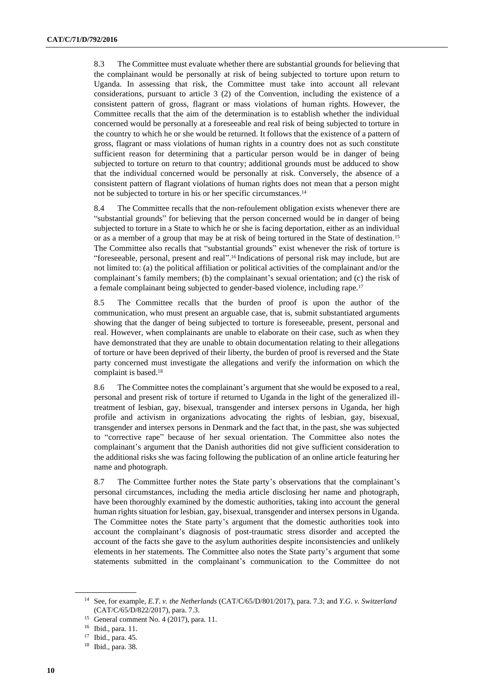8.3 The Committee must evaluate whether there are substantial grounds for believing that the complainant would be personally at risk of being subjected to torture upon return to Uganda. In assessing that risk, the Committee must take into account all relevant considerations, pursuant to article 3 (2) of the Convention, including the existence of a consistent pattern of gross, flagrant or mass violations of human rights. However, the Committee recalls that the aim of the determination is to establish whether the individual concerned would be personally at a foreseeable and real risk of being subjected to torture in the country to which he or she would be returned. It follows that the existence of a pattern of gross, flagrant or mass violations of human rights in a country does not as such constitute sufficient reason for determining that a particular person would be in danger of being subjected to torture on return to that country; additional grounds must be adduced to show that the individual concerned would be personally at risk. Conversely, the absence of a consistent pattern of flagrant violations of human rights does not mean that a person might not be subjected to torture in his or her specific circumstances.<sup>14</sup>

8.4 The Committee recalls that the non-refoulement obligation exists whenever there are "substantial grounds" for believing that the person concerned would be in danger of being subjected to torture in a State to which he or she is facing deportation, either as an individual or as a member of a group that may be at risk of being tortured in the State of destination.<sup>15</sup> The Committee also recalls that "substantial grounds" exist whenever the risk of torture is "foreseeable, personal, present and real". <sup>16</sup> Indications of personal risk may include, but are not limited to: (a) the political affiliation or political activities of the complainant and/or the complainant's family members; (b) the complainant's sexual orientation; and (c) the risk of a female complainant being subjected to gender-based violence, including rape.<sup>17</sup>

8.5 The Committee recalls that the burden of proof is upon the author of the communication, who must present an arguable case, that is, submit substantiated arguments showing that the danger of being subjected to torture is foreseeable, present, personal and real. However, when complainants are unable to elaborate on their case, such as when they have demonstrated that they are unable to obtain documentation relating to their allegations of torture or have been deprived of their liberty, the burden of proof is reversed and the State party concerned must investigate the allegations and verify the information on which the complaint is based.<sup>18</sup>

8.6 The Committee notes the complainant's argument that she would be exposed to a real, personal and present risk of torture if returned to Uganda in the light of the generalized illtreatment of lesbian, gay, bisexual, transgender and intersex persons in Uganda, her high profile and activism in organizations advocating the rights of lesbian, gay, bisexual, transgender and intersex persons in Denmark and the fact that, in the past, she was subjected to "corrective rape" because of her sexual orientation. The Committee also notes the complainant's argument that the Danish authorities did not give sufficient consideration to the additional risks she was facing following the publication of an online article featuring her name and photograph.

8.7 The Committee further notes the State party's observations that the complainant's personal circumstances, including the media article disclosing her name and photograph, have been thoroughly examined by the domestic authorities, taking into account the general human rights situation for lesbian, gay, bisexual, transgender and intersex persons in Uganda. The Committee notes the State party's argument that the domestic authorities took into account the complainant's diagnosis of post-traumatic stress disorder and accepted the account of the facts she gave to the asylum authorities despite inconsistencies and unlikely elements in her statements. The Committee also notes the State party's argument that some statements submitted in the complainant's communication to the Committee do not

<sup>14</sup> See, for example, *E.T. v. the Netherlands* (CAT/C/65/D/801/2017), para. 7.3; and *Y.G. v. Switzerland*  (CAT/C/65/D/822/2017), para. 7.3.

<sup>&</sup>lt;sup>15</sup> General comment No. 4 (2017), para. 11.

<sup>16</sup> Ibid., para. 11.

<sup>17</sup> Ibid., para. 45.

<sup>18</sup> Ibid., para. 38.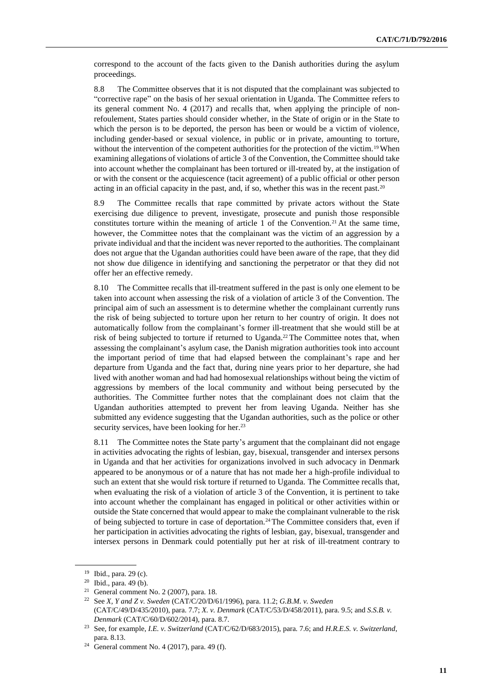correspond to the account of the facts given to the Danish authorities during the asylum proceedings.

8.8 The Committee observes that it is not disputed that the complainant was subjected to "corrective rape" on the basis of her sexual orientation in Uganda. The Committee refers to its general comment No. 4 (2017) and recalls that, when applying the principle of nonrefoulement, States parties should consider whether, in the State of origin or in the State to which the person is to be deported, the person has been or would be a victim of violence, including gender-based or sexual violence, in public or in private, amounting to torture, without the intervention of the competent authorities for the protection of the victim.<sup>19</sup> When examining allegations of violations of article 3 of the Convention, the Committee should take into account whether the complainant has been tortured or ill-treated by, at the instigation of or with the consent or the acquiescence (tacit agreement) of a public official or other person acting in an official capacity in the past, and, if so, whether this was in the recent past.<sup>20</sup>

8.9 The Committee recalls that rape committed by private actors without the State exercising due diligence to prevent, investigate, prosecute and punish those responsible constitutes torture within the meaning of article 1 of the Convention.<sup>21</sup> At the same time, however, the Committee notes that the complainant was the victim of an aggression by a private individual and that the incident was never reported to the authorities. The complainant does not argue that the Ugandan authorities could have been aware of the rape, that they did not show due diligence in identifying and sanctioning the perpetrator or that they did not offer her an effective remedy.

8.10 The Committee recalls that ill-treatment suffered in the past is only one element to be taken into account when assessing the risk of a violation of article 3 of the Convention. The principal aim of such an assessment is to determine whether the complainant currently runs the risk of being subjected to torture upon her return to her country of origin. It does not automatically follow from the complainant's former ill-treatment that she would still be at risk of being subjected to torture if returned to Uganda.<sup>22</sup> The Committee notes that, when assessing the complainant's asylum case, the Danish migration authorities took into account the important period of time that had elapsed between the complainant's rape and her departure from Uganda and the fact that, during nine years prior to her departure, she had lived with another woman and had had homosexual relationships without being the victim of aggressions by members of the local community and without being persecuted by the authorities. The Committee further notes that the complainant does not claim that the Ugandan authorities attempted to prevent her from leaving Uganda. Neither has she submitted any evidence suggesting that the Ugandan authorities, such as the police or other security services, have been looking for her.<sup>23</sup>

8.11 The Committee notes the State party's argument that the complainant did not engage in activities advocating the rights of lesbian, gay, bisexual, transgender and intersex persons in Uganda and that her activities for organizations involved in such advocacy in Denmark appeared to be anonymous or of a nature that has not made her a high-profile individual to such an extent that she would risk torture if returned to Uganda. The Committee recalls that, when evaluating the risk of a violation of article 3 of the Convention, it is pertinent to take into account whether the complainant has engaged in political or other activities within or outside the State concerned that would appear to make the complainant vulnerable to the risk of being subjected to torture in case of deportation.<sup>24</sup> The Committee considers that, even if her participation in activities advocating the rights of lesbian, gay, bisexual, transgender and intersex persons in Denmark could potentially put her at risk of ill-treatment contrary to

<sup>19</sup> Ibid., para. 29 (c).

<sup>20</sup> Ibid., para. 49 (b).

<sup>&</sup>lt;sup>21</sup> General comment No. 2 (2007), para. 18.

<sup>22</sup> See *X, Y and Z v. Sweden* (CAT/C/20/D/61/1996), para. 11.2; *G.B.M. v. Sweden* (CAT/C/49/D/435/2010), para. 7.7; *X. v. Denmark* (CAT/C/53/D/458/2011), para. 9.5; and *S.S.B. v. Denmark* (CAT/C/60/D/602/2014), para. 8.7.

<sup>23</sup> See, for example, *I.E. v. Switzerland* (CAT/C/62/D/683/2015), para. 7.6; and *H.R.E.S. v. Switzerland*, para. 8.13.

<sup>24</sup> General comment No. 4 (2017), para. 49 (f).